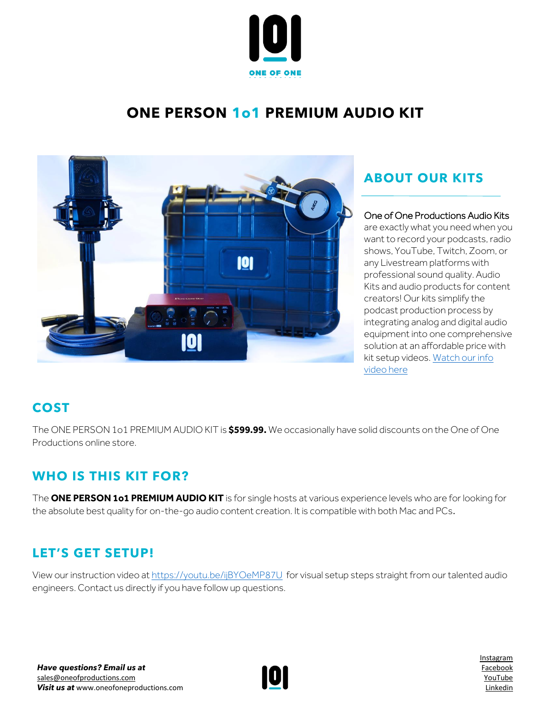

# **ONE PERSON 1o1 PREMIUM AUDIO KIT**



## **ABOUT OUR KITS**

### One of One Productions Audio Kits

are exactly what you need when you want to record your podcasts, radio shows, YouTube, Twitch, Zoom, or any Livestream platforms with professional sound quality. Audio Kits and audio products for content creators! Our kits simplify the podcast production process by integrating analog and digital audio equipment into one comprehensive solution at an affordable price with kit setup videos. [Watch our info](https://www.youtube.com/watch?v=azt8UKdf2mI)  [video here](https://www.youtube.com/watch?v=azt8UKdf2mI)

### **COST**

The ONE PERSON 1o1 PREMIUM AUDIO KIT is **\$599.99.** We occasionally have solid discounts on the One of One Productions online store.

### **WHO IS THIS KIT FOR?**

The **ONE PERSON 1o1 PREMIUM AUDIO KIT** is for single hosts at various experience levels who are for looking for the absolute best quality for on-the-go audio content creation. It is compatible with both Mac and PCs.

# **LET'S GET SETUP!**

View our instruction video at <https://youtu.be/ijBYOeMP87U> for visual setup steps straight from our talented audio engineers. Contact us directly if you have follow up questions.



[Instagram](http://www.instagram.com/oneofoneprostudio) [Facebook](http://www.facebook.com/oneofoneprostudio) [YouTube](https://www.youtube.com/channel/UC7rXqaZ33g4xGBeQXeCHT7Q/videos) [Linkedin](http://www.linkedin.com/company/one-of-one-productions-studio/)